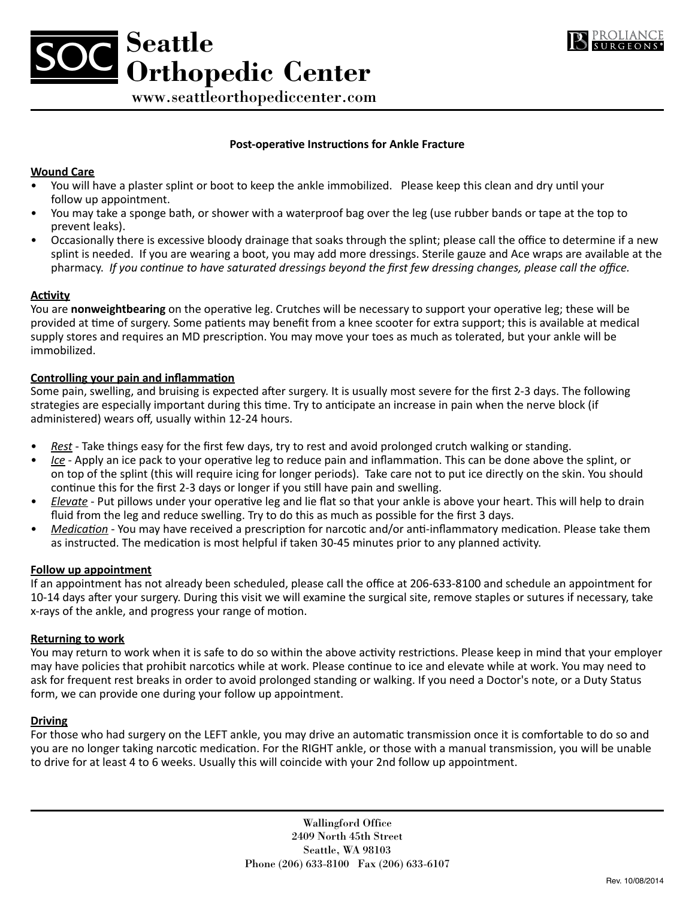



www.seattleorthopediccenter.com

## **Post-operative Instructions for Ankle Fracture**

## **Wound Care**

- You will have a plaster splint or boot to keep the ankle immobilized. Please keep this clean and dry until your follow up appointment.
- You may take a sponge bath, or shower with a waterproof bag over the leg (use rubber bands or tape at the top to prevent leaks).
- • Occasionally there is excessive bloody drainage that soaks through the splint; please call the office to determine if a new splint is needed. If you are wearing a boot, you may add more dressings. Sterile gauze and Ace wraps are available at the pharmacy. *If you continue to have saturated dressings beyond the first few dressing changes, please call the office.*

### **Activity**

You are **nonweightbearing** on the operative leg. Crutches will be necessary to support your operative leg; these will be provided at time of surgery. Some patients may benefit from a knee scooter for extra support; this is available at medical supply stores and requires an MD prescription. You may move your toes as much as tolerated, but your ankle will be immobilized.

## **Controlling your pain and inflammation**

Some pain, swelling, and bruising is expected after surgery. It is usually most severe for the first 2-3 days. The following strategies are especially important during this time. Try to anticipate an increase in pain when the nerve block (if administered) wears off, usually within 12-24 hours.

- *Rest* Take things easy for the first few days, try to rest and avoid prolonged crutch walking or standing.
- *Ice* Apply an ice pack to your operative leg to reduce pain and inflammation. This can be done above the splint, or on top of the splint (this will require icing for longer periods). Take care not to put ice directly on the skin. You should continue this for the first 2-3 days or longer if you still have pain and swelling.
- *Elevate* Put pillows under your operative leg and lie flat so that your ankle is above your heart. This will help to drain fluid from the leg and reduce swelling. Try to do this as much as possible for the first 3 days.
- *Medication* You may have received a prescription for narcotic and/or anti-inflammatory medication. Please take them as instructed. The medication is most helpful if taken 30-45 minutes prior to any planned activity.

#### **Follow up appointment**

If an appointment has not already been scheduled, please call the office at 206-633-8100 and schedule an appointment for 10-14 days after your surgery. During this visit we will examine the surgical site, remove staples or sutures if necessary, take x-rays of the ankle, and progress your range of motion.

#### **Returning to work**

You may return to work when it is safe to do so within the above activity restrictions. Please keep in mind that your employer may have policies that prohibit narcotics while at work. Please continue to ice and elevate while at work. You may need to ask for frequent rest breaks in order to avoid prolonged standing or walking. If you need a Doctor's note, or a Duty Status form, we can provide one during your follow up appointment.

#### **Driving**

For those who had surgery on the LEFT ankle, you may drive an automatic transmission once it is comfortable to do so and you are no longer taking narcotic medication. For the RIGHT ankle, or those with a manual transmission, you will be unable to drive for at least 4 to 6 weeks. Usually this will coincide with your 2nd follow up appointment.